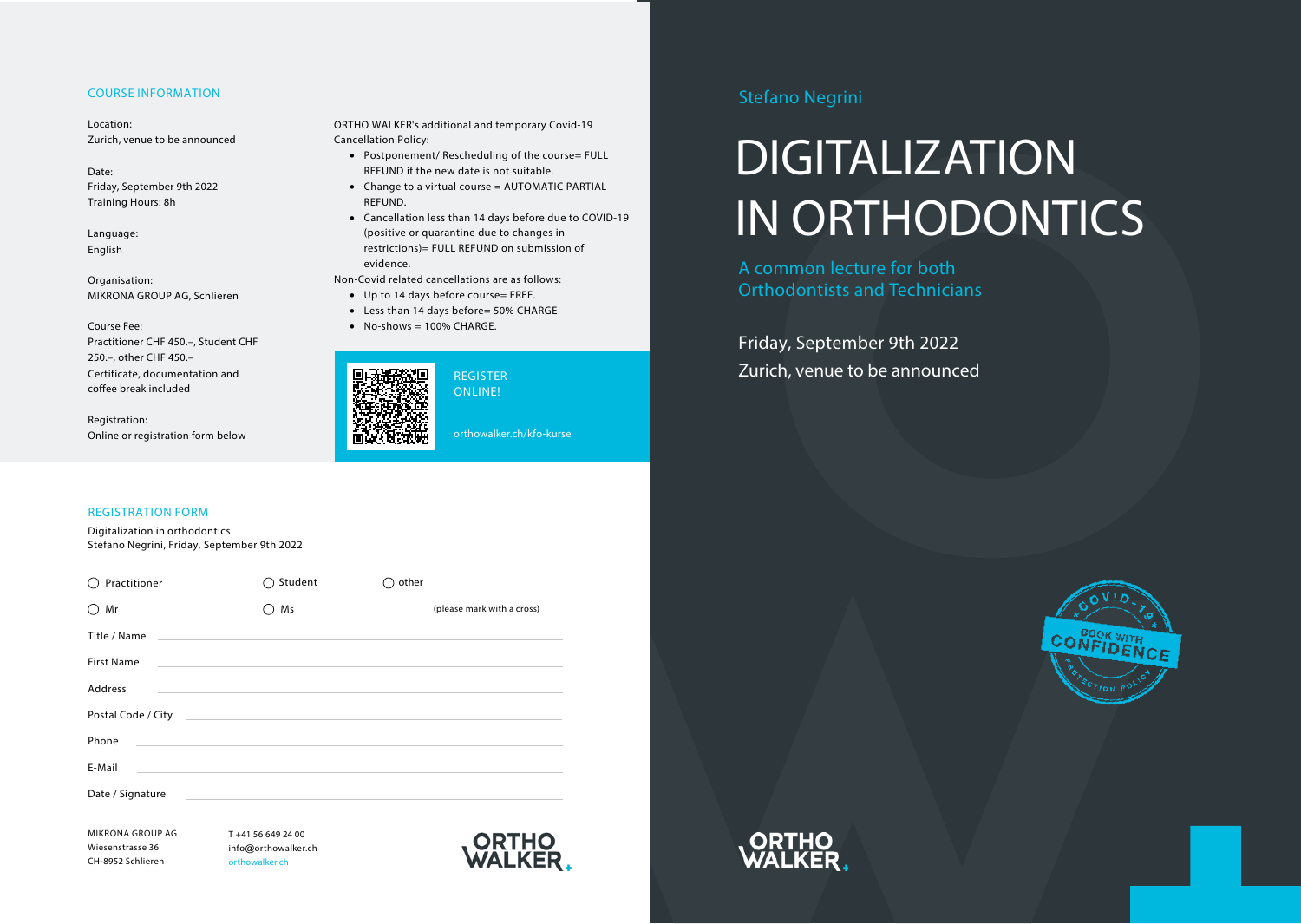### COURSE INFORMATION

Location: Zurich, venue to be announced

Date: Friday, September 9th 2022 Training Hours: 8h

Language: English

Organisation: MIKRONA GROUP AG, Schlieren

Course Fee:

Practitioner CHF 450.–, Student CHF  $250 -$  other CHF 450 $-$ Certificate, documentation and coffee break included

Registration: Online or registration form below

### REGISTRATION FORM

Digitalization in orthodontics Stefano Negrini, Friday, September 9th 2022

| Practitioner       | Student                                                                                                              | other |                            |
|--------------------|----------------------------------------------------------------------------------------------------------------------|-------|----------------------------|
| Mr                 | Ms                                                                                                                   |       | (please mark with a cross) |
| Title / Name       | <u> 1980 - Jan James Alexander (f. 1980)</u>                                                                         |       |                            |
| <b>First Name</b>  | <u> 1989 - Jan Salaman Salaman (j. 1989)</u>                                                                         |       |                            |
| Address            | <u> 1989 - Johann Stoff, amerikansk politiker (d. 1989)</u>                                                          |       |                            |
| Postal Code / City | <u> Alexandro de la contrada de la contrada de la contrada de la contrada de la contrada de la contrada de la co</u> |       |                            |
| Phone              |                                                                                                                      |       |                            |
| E-Mail             | and the state of the state of the state of the state of the state of the state of the state of the state of th       |       |                            |
| Date / Signature   |                                                                                                                      |       |                            |

MIKRONA GROUP AG Wiesenstrasse 36 CH-8952 Schlieren

T +41 56 649 24 00 info@orthowalker.ch orthowalker.ch



REGISTER ONLINE!

ORTHO WALKER's additional and temporary Covid-19

Non-Covid related cancellations are as follows: • Up to 14 days before course= FREE. • Less than 14 days before= 50% CHARGE

 $\bullet$  No-shows = 100% CHARGE.

• Postponement/ Rescheduling of the course= FULL REFUND if the new date is not suitable. • Change to a virtual course = AUTOMATIC PARTIAL

• Cancellation less than 14 days before due to COVID-19 (positive or quarantine due to changes in restrictions)= FULL REFUND on submission of

Cancellation Policy:

REFUND.

evidence.

orthowalker.ch/kfo-kurse

## Stefano Negrini

# DIGITALIZATION IN ORTHODONTICS

A common lecture for both Orthodontists and Technicians

Friday, September 9th 2022 Zurich, venue to be announced